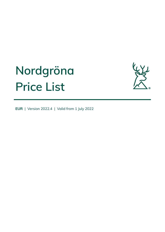# **Nordgröna Price List**



**EUR** | Version 2022.4 | Valid from 1 July 2022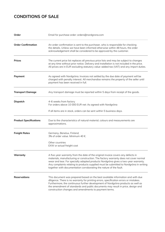# **CONDITIONS OF SALE**

| Order                         | Email for purchase order: orders@nordgrona.com                                                                                                                                                                                                                                                                                                                                                                                 |
|-------------------------------|--------------------------------------------------------------------------------------------------------------------------------------------------------------------------------------------------------------------------------------------------------------------------------------------------------------------------------------------------------------------------------------------------------------------------------|
| <b>Order Confirmation</b>     | An order confirmation is sent to the purchaser, who is responsible for checking<br>the details. Unless we have been informed otherwise within 48 hours, the order<br>acknowledgement shall be considered to be approved by the customer.                                                                                                                                                                                       |
| <b>Prices</b>                 | The current price list replaces all previous price lists and may be subject to changes<br>at any time without prior notice. Delivery and installation is not included in the price.<br>All prices are in EUR excluding statutory value-added tax (VAT) and any import duties.                                                                                                                                                  |
| Payment                       | As agreed with Nordgröna. Invoices not settled by the due date of payment will be<br>charged with penalty interest. All merchandise remains the property of the seller until<br>payment has been received in full.                                                                                                                                                                                                             |
| <b>Transport Damage</b>       | Any transport damage must be reported within 5 days from receipt of the goods.                                                                                                                                                                                                                                                                                                                                                 |
| <b>Dispatch</b>               | 4-6 weeks from factory<br>For orders above 10 000 EUR net: As agreed with Nordgröna<br>If all items are in stock, orders can be sent within 5 business days.                                                                                                                                                                                                                                                                   |
| <b>Product Specifications</b> | Due to the characteristics of natural material, colours and measurements are<br>approximations.                                                                                                                                                                                                                                                                                                                                |
| <b>Freight Rates</b>          | Germany, Benelux, Finland,<br>3% of order value. Minimum 40 €.<br>Other countries<br>EXW or actual freight cost                                                                                                                                                                                                                                                                                                                |
| Warranty                      | A five-year warranty from the date of the original invoice covers any defects in<br>materials, manufacturing or construction. The factory warranty does not cover normal<br>wear and tear. For specially adapted products Nordgröna gives a two-year warranty.<br>Any complaints relating to products supplied must be submitted to Nordgröna in writing<br>together with documentation corroborating the nature of the fault. |
| <b>Reservations</b>           | This document was prepared based on the best available information and with due<br>diligence. There is no warranty for printing errors, specification errors or mistakes.<br>Furthermore, the continuous further development of Nordgröna products as well as<br>the amendment of standards and public documents may result in price, design and<br>construction changes and amendments to payment terms.                      |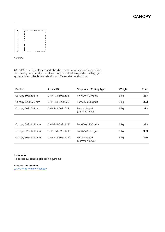

CANOPY

**CANOPY** is a high-class sound absorber made from Reindeer Moss which can quickly and easily be placed into standard suspended ceiling grid systems. It is available in a selection of different sizes and colours.

| Product            | <b>Article ID</b> | <b>Suspended Ceiling Type</b>     | Weight | Price |
|--------------------|-------------------|-----------------------------------|--------|-------|
| Canopy 593x593 mm  | CNP-RM-593x593    | For 600x600 grids                 | 3 kg   | 233   |
| Canopy 620x620 mm  | CNP-RM-620x620    | For 625x625 grids                 | 3 kg   | 233   |
| Canopy 603x603 mm  | CNP-RM-603x603    | For 2x2 ft grid<br>(Common in US) | 3 kg   | 233   |
|                    |                   |                                   |        |       |
| Canopy 593x1193 mm | CNP-RM-593x1193   | For 600x1200 grids                | 6 kg   | 333   |
| Canopy 620x1213 mm | CNP-RM-620x1213   | For 625x1225 grids                | 6 kg   | 333   |
| Canopy 603x1213 mm | CNP-RM-603x1213   | For 2x4 ft grid<br>(Common in US) | 6 kg   | 310   |

## **Installation**

Place into suspended grid ceiling systems.

#### **Product Information**

[www.nordgrona.com/canopy](http://www.nordgrona.com/canopy)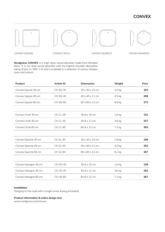# **CONVEX**







CONVEX SQUARE CONVEX CIRCLE CONVEX SQUIRCLE CONVEX HEXAGON

**Nordgröna CONVEX** is a high-class sound absorber made from Reindeer Moss. It is our best sound absorber with the highest possible absorption rating (Class A / NRC 1.0) and is available in a selection of various shapes, sizes and colours.

| Product               | <b>Article ID</b> | <b>Dimensions</b>           | Weight            | Price |
|-----------------------|-------------------|-----------------------------|-------------------|-------|
| Convex Square 30 cm   | $CX-SQ-30$        | $30 \times 30 \times 10$ cm | 2.0 <sub>kq</sub> | 163   |
| Convex Square 45 cm   | $CX-SQ-45$        | 45 x 45 x 11 cm             | 4.5 kg            | 268   |
| Convex Square 60 cm   | CX-SQ-60          | 60 x 60 x 12 cm             | 9.0 kg            | 373   |
|                       |                   |                             |                   |       |
| Convex Circle 30 cm   | $CX-CL-30$        | 30 Ø x 10 cm                | 1.6 <sub>kg</sub> | 152   |
| Convex Circle 45 cm   | $CX-CL-45$        | 45 Ø x 11 cm                | 3.6 kg            | 257   |
| Convex Circle 60 cm   | $CX-CL-60$        | 60 Ø x 12 cm                | 7.2 kg            | 363   |
|                       |                   |                             |                   |       |
| Convex Squircle 30 cm | $CX-SL-30$        | 30 x 30 x 10 cm             | 1.8 kg            | 158   |
| Convex Squircle 45 cm | $CX-SL-45$        | 45 x 45 x 11 cm             | 4.0 kg            | 262   |
| Convex Squircle 60 cm | $CX-SL-60$        | 60 x 60 x 12 cm             | 8.1 kg            | 367   |
|                       |                   |                             |                   |       |
| Convex Hexagon 30 cm  | $CX-HX-30$        | 30 Ø x 10 cm                | 1.6 kg            | 158   |
| Convex Hexagon 45 cm  | $CX-HX-45$        | 45 Ø x 11 cm                | 3.6 kg            | 262   |
| Convex Hexagon 60 cm  | $CX-HX-60$        | 60 Ø x 12 cm                | 7.2 kg            | 367   |

## **Installation**

Hanging on the wall with a single screw & plug (included).

# **Product information & online design tool**

[www.nordgrona.com/convex](http://www.nordgrona.com/convex)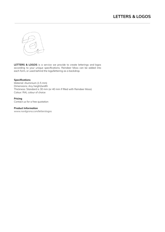

**LETTERS & LOGOS** is a service we provide to create letterings and logos according to your unique specifications. Reindeer Moss can be added into each form, or used behind the logo/lettering as a backdrop.

# **Specifications**

Material: Aluminium (1.5 mm) Dimensions: Any height/width Thickness: Standard is 30 mm (or 40 mm if filled with Reindeer Moss) Colour: RAL colour of choice

# **Pricing**

Contact us for a free quotation

## **Product Information**

[www.nordgrona.com/letterslogos](http://www.nordgrona.com/letterslogos)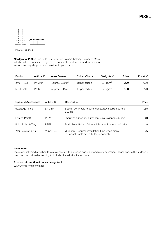**PIXEL**



PIXEL (Group of 12)

**Nordgröna PIXELs** are little 5 x 5 cm containers holding Reindeer Moss which, when combined together, can create natural sound absorbing surfaces of any shape or size - custom to your needs.

| Product     | Article ID | <b>Area Covered</b>        | <b>Colour Choice</b> | Weight/ $m2$ | Price | Price/ $m^2$ |
|-------------|------------|----------------------------|----------------------|--------------|-------|--------------|
| 240x Pixels | $PX-240$   | Approx. $0.60 \text{ m}^2$ | 1x per carton        | 12 $kg/m2$   | 390   | 650          |
| 60x Pixels  | PX-60      | Approx. $0.15 \text{ m}^2$ | 1x per carton        | 12 $kg/m2$   | 108   | 720          |

| <b>Optional Accessories</b> | <b>Article ID</b> | <b>Description</b>                                                                                     | Price |
|-----------------------------|-------------------|--------------------------------------------------------------------------------------------------------|-------|
| 60x Edge Pixels             | EPX-60            | Special 90° Pixels to cover edges. Each carton covers<br>300 cm                                        | 135   |
| Primer (Paint)              | <b>PRIM</b>       | Improves adhesion. 1 liter can. Covers approx. 30 m2                                                   | 18    |
| Paint Roller & Tray         | <b>RSET</b>       | Basic Paint Roller 100 mm & Tray for Primer application                                                | 8     |
| 240x Velcro Coins           | <b>VLCN-240</b>   | $\varnothing$ 35 mm. Reduces installation time when many<br>individual Pixels are installed separately | 36.   |

#### **Installation**

Pixels are delivered attached to velcro sheets with adhesive backside for direct application. Please ensure the surface is prepared and primed according to included installation instructions.

#### **Product information & online design tool**

[www.nordgrona.com/pixel](http://www.nordgrona.com/pixel)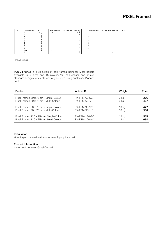# **PIXEL Framed**

 $\mathfrak{g}$ 



PIXEL Framed

**PIXEL Framed** is a collection of oak-framed Reindeer Moss panels available in 3 sizes and 15 colours. You can choose one of our standard designs, or create one of your own using our Online Planner Tool.

| Product                                  | Article ID           | Weight           | Price |
|------------------------------------------|----------------------|------------------|-------|
| Pixel Framed 60 x 75 cm - Single-Colour  | PX-FRM-60-SC         | 6 ka             | 366   |
| Pixel Framed 60 x 75 cm - Multi-Colour   | PX-FRM-60-MC         | 6 kg             | 457   |
| Pixel Framed 90 x 75 cm - Single-Colour  | PX-FRM-90-SC         | 10 kg            | 477   |
| Pixel Framed 90 x 75 cm - Multi-Colour   | PX-FRM-90-MC         | 10 <sub>kq</sub> | 596   |
| Pixel Framed 120 x 75 cm - Single-Colour | <b>PX-FRM-120-SC</b> | 12 kg            | 555   |
| Pixel Framed 120 x 75 cm - Multi-Colour  | PX-FRM-120-MC        | $12$ kg          | 694   |

# **Installation**

Hanging on the wall with two screws & plug (included).

# **Product Information**

[www.nordgrona.com/pixel-framed](http://www.nordgrona.com/pixel-framed)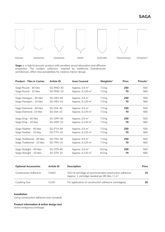

**Saga** is a hybrid acoustic product with excellent sound absorption and diffusion properties. The modern collection, inspired by traditional Scandinavian architecture, offers new possibilities for creative interior design.

| <b>Product - Tiles in Carton</b> | <b>Article ID</b> | <b>Area Covered</b>          | Weight/ $m^2$      | Price | Price/ $m^2$ |
|----------------------------------|-------------------|------------------------------|--------------------|-------|--------------|
| Saga Round - 40 tiles            | SG-RND-40         | Approx. $0.5 \text{ m}^2$    | 7.0 kg             | 250   | 500          |
| Saga Round - 10 tiles            | SG-RND-10         | Approx. 0,125 m <sup>2</sup> | 7.0 kg             | 70    | 560          |
| Saga Hexagon - 40 tiles          | SG-HEX-40         | Approx. $0.5$ m <sup>2</sup> | 7.0 kg             | 250   | 500          |
| Saga Hexagon - 10 tiles          | SG-HEX-10         | Approx. 0,125 m <sup>2</sup> | 7.0 kg             | 70    | 560          |
| Saga Diamond - 40 tiles          | $SG-DIA-40$       | Approx. $0.5 \text{ m}^2$    | 7.5 kg             | 250   | 500          |
| Saga Diamond - 10 tiles          | SG-DIA-10         | Approx. 0,125 m <sup>2</sup> | 7.5 kg             | 70    | 560          |
| Saga Drop - 40 tiles             | SG-DRP-40         | Approx. $0.5 \text{ m}^2$    | 7.5 kg             | 250   | 500          |
| Saga Drop - 10 tiles             | SG-DRP-10         | Approx. 0,125 m <sup>2</sup> | 7.5 kg             | 70    | 560          |
| Saga Feather - 40 tiles          | SG-FTH-40         | Approx. $0.5$ m <sup>2</sup> | 7.5 kg             | 250   | 500          |
| Saga Feather - 10 tiles          | SG-FTH-10         | Approx. $0,125 \text{ m}^2$  | 7.5 kg             | 70    | 560          |
| Saga Traditional - 40 tiles      | SG-TRA-40         | Approx. $0.5$ m <sup>2</sup> | 7.5 kg             | 250   | 500          |
| Saga Traditional - 10 tiles      | SG-TRA-10         | Approx. 0,125 m <sup>2</sup> | 7.5 kg             | 70    | 560          |
| Saga Straight - 40 tiles         | SG-STR-40         | Approx. $0.5 \text{ m}^2$    | $6.0$ kg           | 250   | 500          |
| Saga Straight - 10 tiles         | SG-STR-10         | Approx. 0,125 m <sup>2</sup> | $6.0\ \mathrm{kg}$ | 70    | 560          |
|                                  |                   |                              |                    |       |              |

| <b>Optional Accessories</b>  | Article ID | <b>Description</b>                                                                                                 | Price |
|------------------------------|------------|--------------------------------------------------------------------------------------------------------------------|-------|
| <b>Construction Adhesive</b> | CNAD.      | 310 ml cartridge of recommended construction adhesive<br>Approx. 1 cartridge needed per 80 tiles / $1 \text{ m}^2$ | 15    |
| Caulking Gun                 | CLGN       | For application of construction adhesive cartridge(s)                                                              | 20.   |

# **Installation**

Using construction adhesive (not included).

# **Product information & online design tool**

[www.nordgrona.com/saga](http://www.nordgrona.com/saga)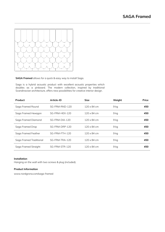

# **SAGA Framed** allows for a quick & easy way to install Saga.

Saga is a hybrid acoustic product with excellent acoustic properties which doubles as a pinboard. The modern collection, inspired by traditional Scandinavian architecture, offers new possibilities for creative interior design.

| Product                 | Article-ID     | <b>Size</b>        | Weight | Price |
|-------------------------|----------------|--------------------|--------|-------|
| Saga Framed Round       | SG-FRM-RND-120 | $120 \times 84$ cm | 9 kg   | 450   |
| Saga Framed Hexagon     | SG-FRM-HEX-120 | $120 \times 84$ cm | 9 kg   | 450   |
| Saga Framed Diamond     | SG-FRM-DIA-120 | $120 \times 84$ cm | 9 kg   | 450   |
| Saga Framed Drop        | SG-FRM-DRP-120 | $120 \times 84$ cm | 9 kg   | 450   |
| Saga Framed Feather     | SG-FRM-FTH-120 | $120 \times 84$ cm | 9 kg   | 450   |
| Saga Framed Traditional | SG-FRM-TRA-120 | 120 x 84 cm        | 9 kg   | 450   |
| Saga Framed Straight    | SG-FRM-STR-120 | 120 x 84 cm        | 9 kg   | 450   |

## **Installation**

Hanging on the wall with two screws & plug (included).

# **Product Information**

[www.nordgrona.com/saga-framed](http://www.nordgrona.com/saga-framed)